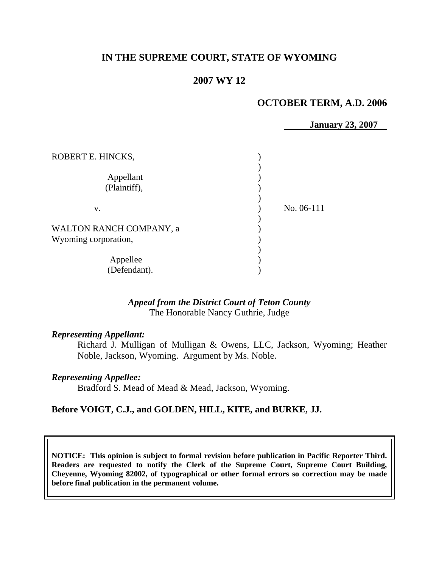# **IN THE SUPREME COURT, STATE OF WYOMING**

# **2007 WY 12**

# **OCTOBER TERM, A.D. 2006**

**January 23, 2007**

| ROBERT E. HINCKS,                               |            |
|-------------------------------------------------|------------|
| Appellant<br>(Plaintiff),                       |            |
| V.                                              | No. 06-111 |
| WALTON RANCH COMPANY, a<br>Wyoming corporation, |            |
| Appellee                                        |            |
| (Defendant).                                    |            |

### *Appeal from the District Court of Teton County* The Honorable Nancy Guthrie, Judge

#### *Representing Appellant:*

Richard J. Mulligan of Mulligan & Owens, LLC, Jackson, Wyoming; Heather Noble, Jackson, Wyoming. Argument by Ms. Noble.

#### *Representing Appellee:*

Bradford S. Mead of Mead & Mead, Jackson, Wyoming.

#### **Before VOIGT, C.J., and GOLDEN, HILL, KITE, and BURKE, JJ.**

**NOTICE: This opinion is subject to formal revision before publication in Pacific Reporter Third. Readers are requested to notify the Clerk of the Supreme Court, Supreme Court Building, Cheyenne, Wyoming 82002, of typographical or other formal errors so correction may be made before final publication in the permanent volume.**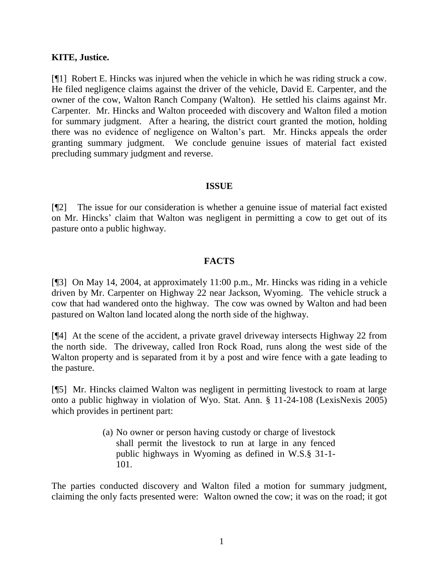### **KITE, Justice.**

[¶1] Robert E. Hincks was injured when the vehicle in which he was riding struck a cow. He filed negligence claims against the driver of the vehicle, David E. Carpenter, and the owner of the cow, Walton Ranch Company (Walton). He settled his claims against Mr. Carpenter. Mr. Hincks and Walton proceeded with discovery and Walton filed a motion for summary judgment. After a hearing, the district court granted the motion, holding there was no evidence of negligence on Walton's part. Mr. Hincks appeals the order granting summary judgment. We conclude genuine issues of material fact existed precluding summary judgment and reverse.

### **ISSUE**

[¶2] The issue for our consideration is whether a genuine issue of material fact existed on Mr. Hincks' claim that Walton was negligent in permitting a cow to get out of its pasture onto a public highway.

### **FACTS**

[¶3] On May 14, 2004, at approximately 11:00 p.m., Mr. Hincks was riding in a vehicle driven by Mr. Carpenter on Highway 22 near Jackson, Wyoming. The vehicle struck a cow that had wandered onto the highway. The cow was owned by Walton and had been pastured on Walton land located along the north side of the highway.

[¶4] At the scene of the accident, a private gravel driveway intersects Highway 22 from the north side. The driveway, called Iron Rock Road, runs along the west side of the Walton property and is separated from it by a post and wire fence with a gate leading to the pasture.

[¶5] Mr. Hincks claimed Walton was negligent in permitting livestock to roam at large onto a public highway in violation of Wyo. Stat. Ann. § 11-24-108 (LexisNexis 2005) which provides in pertinent part:

> (a) No owner or person having custody or charge of livestock shall permit the livestock to run at large in any fenced public highways in Wyoming as defined in W.S.§ 31-1- 101.

The parties conducted discovery and Walton filed a motion for summary judgment, claiming the only facts presented were: Walton owned the cow; it was on the road; it got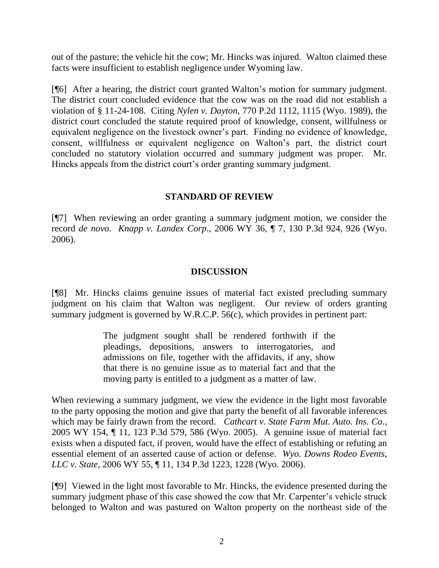out of the pasture; the vehicle hit the cow; Mr. Hincks was injured. Walton claimed these facts were insufficient to establish negligence under Wyoming law.

[¶6] After a hearing, the district court granted Walton's motion for summary judgment. The district court concluded evidence that the cow was on the road did not establish a violation of § 11-24-108. Citing *Nylen v. Dayton*, 770 P.2d 1112, 1115 (Wyo. 1989), the district court concluded the statute required proof of knowledge, consent, willfulness or equivalent negligence on the livestock owner's part. Finding no evidence of knowledge, consent, willfulness or equivalent negligence on Walton's part, the district court concluded no statutory violation occurred and summary judgment was proper. Mr. Hincks appeals from the district court's order granting summary judgment.

# **STANDARD OF REVIEW**

[¶7] When reviewing an order granting a summary judgment motion, we consider the record *de novo*. *Knapp v. Landex Corp*., 2006 WY 36, ¶ 7, 130 P.3d 924, 926 (Wyo. 2006).

# **DISCUSSION**

[¶8] Mr. Hincks claims genuine issues of material fact existed precluding summary judgment on his claim that Walton was negligent. Our review of orders granting summary judgment is governed by W.R.C.P. 56(c), which provides in pertinent part:

> The judgment sought shall be rendered forthwith if the pleadings, depositions, answers to interrogatories, and admissions on file, together with the affidavits, if any, show that there is no genuine issue as to material fact and that the moving party is entitled to a judgment as a matter of law.

When reviewing a summary judgment, we view the evidence in the light most favorable to the party opposing the motion and give that party the benefit of all favorable inferences which may be fairly drawn from the record. *Cathcart v. State Farm Mut. Auto. Ins. Co*., 2005 WY 154, ¶ 11, 123 P.3d 579, 586 (Wyo. 2005). A genuine issue of material fact exists when a disputed fact, if proven, would have the effect of establishing or refuting an essential element of an asserted cause of action or defense. *Wyo. Downs Rodeo Events, LLC v. State*, 2006 WY 55, ¶ 11, 134 P.3d 1223, 1228 (Wyo. 2006).

[¶9] Viewed in the light most favorable to Mr. Hincks, the evidence presented during the summary judgment phase of this case showed the cow that Mr. Carpenter's vehicle struck belonged to Walton and was pastured on Walton property on the northeast side of the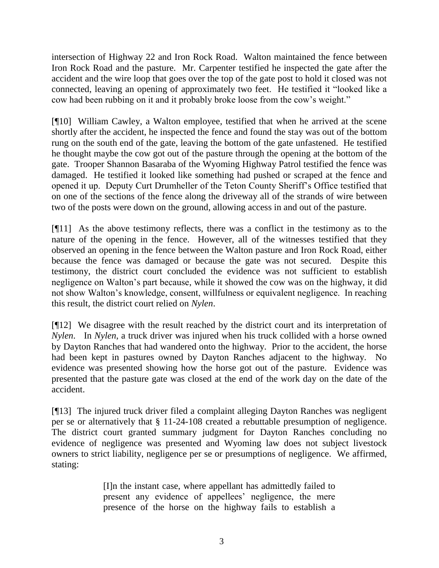intersection of Highway 22 and Iron Rock Road. Walton maintained the fence between Iron Rock Road and the pasture. Mr. Carpenter testified he inspected the gate after the accident and the wire loop that goes over the top of the gate post to hold it closed was not connected, leaving an opening of approximately two feet. He testified it "looked like a cow had been rubbing on it and it probably broke loose from the cow's weight."

[¶10] William Cawley, a Walton employee, testified that when he arrived at the scene shortly after the accident, he inspected the fence and found the stay was out of the bottom rung on the south end of the gate, leaving the bottom of the gate unfastened. He testified he thought maybe the cow got out of the pasture through the opening at the bottom of the gate. Trooper Shannon Basaraba of the Wyoming Highway Patrol testified the fence was damaged. He testified it looked like something had pushed or scraped at the fence and opened it up. Deputy Curt Drumheller of the Teton County Sheriff's Office testified that on one of the sections of the fence along the driveway all of the strands of wire between two of the posts were down on the ground, allowing access in and out of the pasture.

[¶11] As the above testimony reflects, there was a conflict in the testimony as to the nature of the opening in the fence. However, all of the witnesses testified that they observed an opening in the fence between the Walton pasture and Iron Rock Road, either because the fence was damaged or because the gate was not secured. Despite this testimony, the district court concluded the evidence was not sufficient to establish negligence on Walton's part because, while it showed the cow was on the highway, it did not show Walton's knowledge, consent, willfulness or equivalent negligence. In reaching this result, the district court relied on *Nylen*.

[¶12] We disagree with the result reached by the district court and its interpretation of *Nylen*. In *Nylen*, a truck driver was injured when his truck collided with a horse owned by Dayton Ranches that had wandered onto the highway. Prior to the accident, the horse had been kept in pastures owned by Dayton Ranches adjacent to the highway. No evidence was presented showing how the horse got out of the pasture. Evidence was presented that the pasture gate was closed at the end of the work day on the date of the accident.

[¶13] The injured truck driver filed a complaint alleging Dayton Ranches was negligent per se or alternatively that § 11-24-108 created a rebuttable presumption of negligence. The district court granted summary judgment for Dayton Ranches concluding no evidence of negligence was presented and Wyoming law does not subject livestock owners to strict liability, negligence per se or presumptions of negligence. We affirmed, stating:

> [I]n the instant case, where appellant has admittedly failed to present any evidence of appellees' negligence, the mere presence of the horse on the highway fails to establish a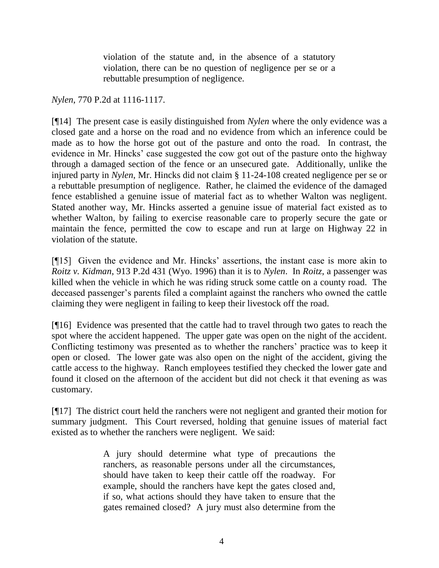violation of the statute and, in the absence of a statutory violation, there can be no question of negligence per se or a rebuttable presumption of negligence.

# *Nylen*, 770 P.2d at 1116-1117.

[¶14] The present case is easily distinguished from *Nylen* where the only evidence was a closed gate and a horse on the road and no evidence from which an inference could be made as to how the horse got out of the pasture and onto the road. In contrast, the evidence in Mr. Hincks' case suggested the cow got out of the pasture onto the highway through a damaged section of the fence or an unsecured gate. Additionally, unlike the injured party in *Nylen*, Mr. Hincks did not claim § 11-24-108 created negligence per se or a rebuttable presumption of negligence. Rather, he claimed the evidence of the damaged fence established a genuine issue of material fact as to whether Walton was negligent. Stated another way, Mr. Hincks asserted a genuine issue of material fact existed as to whether Walton, by failing to exercise reasonable care to properly secure the gate or maintain the fence, permitted the cow to escape and run at large on Highway 22 in violation of the statute.

[¶15] Given the evidence and Mr. Hincks' assertions, the instant case is more akin to *Roitz v. Kidman*, 913 P.2d 431 (Wyo. 1996) than it is to *Nylen*. In *Roitz*, a passenger was killed when the vehicle in which he was riding struck some cattle on a county road. The deceased passenger's parents filed a complaint against the ranchers who owned the cattle claiming they were negligent in failing to keep their livestock off the road.

[¶16] Evidence was presented that the cattle had to travel through two gates to reach the spot where the accident happened. The upper gate was open on the night of the accident. Conflicting testimony was presented as to whether the ranchers' practice was to keep it open or closed. The lower gate was also open on the night of the accident, giving the cattle access to the highway. Ranch employees testified they checked the lower gate and found it closed on the afternoon of the accident but did not check it that evening as was customary.

[¶17] The district court held the ranchers were not negligent and granted their motion for summary judgment. This Court reversed, holding that genuine issues of material fact existed as to whether the ranchers were negligent. We said:

> A jury should determine what type of precautions the ranchers, as reasonable persons under all the circumstances, should have taken to keep their cattle off the roadway. For example, should the ranchers have kept the gates closed and, if so, what actions should they have taken to ensure that the gates remained closed? A jury must also determine from the